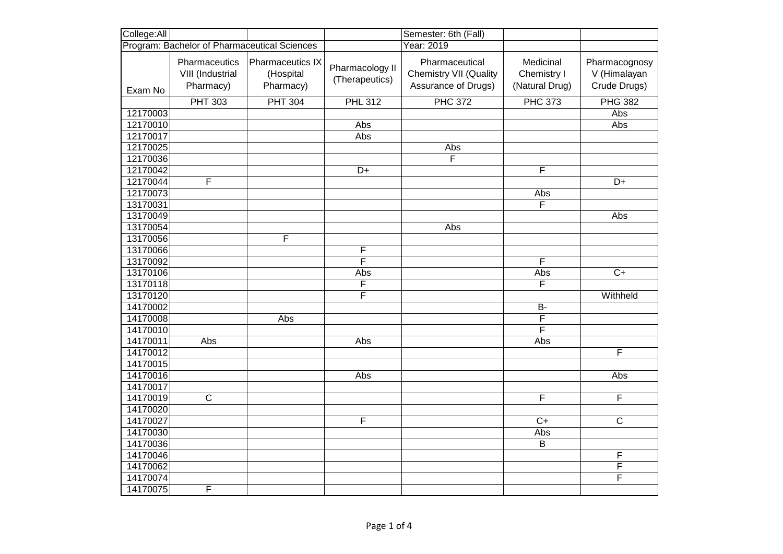| College:All                                  |                                                |                                                   |                                   | Semester: 6th (Fall)                                                   |                                            |                                               |
|----------------------------------------------|------------------------------------------------|---------------------------------------------------|-----------------------------------|------------------------------------------------------------------------|--------------------------------------------|-----------------------------------------------|
| Program: Bachelor of Pharmaceutical Sciences |                                                |                                                   |                                   | Year: 2019                                                             |                                            |                                               |
| Exam No                                      | Pharmaceutics<br>VIII (Industrial<br>Pharmacy) | <b>Pharmaceutics IX</b><br>(Hospital<br>Pharmacy) | Pharmacology II<br>(Therapeutics) | Pharmaceutical<br><b>Chemistry VII (Quality</b><br>Assurance of Drugs) | Medicinal<br>Chemistry I<br>(Natural Drug) | Pharmacognosy<br>V (Himalayan<br>Crude Drugs) |
|                                              | <b>PHT 303</b>                                 | <b>PHT 304</b>                                    | <b>PHL 312</b>                    | <b>PHC 372</b>                                                         | <b>PHC 373</b>                             | <b>PHG 382</b>                                |
| 12170003                                     |                                                |                                                   |                                   |                                                                        |                                            | Abs                                           |
| 12170010                                     |                                                |                                                   | Abs                               |                                                                        |                                            | Abs                                           |
| 12170017                                     |                                                |                                                   | Abs                               |                                                                        |                                            |                                               |
| 12170025                                     |                                                |                                                   |                                   | Abs                                                                    |                                            |                                               |
| 12170036                                     |                                                |                                                   |                                   | $\overline{\mathsf{F}}$                                                |                                            |                                               |
| 12170042                                     |                                                |                                                   | $D+$                              |                                                                        | F                                          |                                               |
| 12170044                                     | F                                              |                                                   |                                   |                                                                        |                                            | D+                                            |
| 12170073                                     |                                                |                                                   |                                   |                                                                        | Abs                                        |                                               |
| 13170031                                     |                                                |                                                   |                                   |                                                                        | F                                          |                                               |
| 13170049                                     |                                                |                                                   |                                   |                                                                        |                                            | Abs                                           |
| 13170054                                     |                                                |                                                   |                                   | Abs                                                                    |                                            |                                               |
| 13170056                                     |                                                | F                                                 |                                   |                                                                        |                                            |                                               |
| 13170066                                     |                                                |                                                   | F                                 |                                                                        |                                            |                                               |
| 13170092                                     |                                                |                                                   | F                                 |                                                                        | F                                          |                                               |
| 13170106                                     |                                                |                                                   | Abs                               |                                                                        | Abs                                        | $\overline{C}$                                |
| 13170118                                     |                                                |                                                   | F                                 |                                                                        | F                                          |                                               |
| 13170120                                     |                                                |                                                   | $\overline{\mathsf{F}}$           |                                                                        |                                            | Withheld                                      |
| 14170002                                     |                                                |                                                   |                                   |                                                                        | $\overline{B}$                             |                                               |
| 14170008                                     |                                                | Abs                                               |                                   |                                                                        | F                                          |                                               |
| 14170010                                     |                                                |                                                   |                                   |                                                                        | F                                          |                                               |
| 14170011                                     | Abs                                            |                                                   | Abs                               |                                                                        | Abs                                        |                                               |
| 14170012                                     |                                                |                                                   |                                   |                                                                        |                                            | F                                             |
| 14170015                                     |                                                |                                                   |                                   |                                                                        |                                            |                                               |
| 14170016                                     |                                                |                                                   | Abs                               |                                                                        |                                            | Abs                                           |
| 14170017                                     |                                                |                                                   |                                   |                                                                        |                                            |                                               |
| 14170019                                     | $\overline{C}$                                 |                                                   |                                   |                                                                        | F                                          | F                                             |
| 14170020                                     |                                                |                                                   |                                   |                                                                        |                                            |                                               |
| 14170027                                     |                                                |                                                   | F                                 |                                                                        | $C+$                                       | $\overline{C}$                                |
| 14170030                                     |                                                |                                                   |                                   |                                                                        | Abs                                        |                                               |
| 14170036                                     |                                                |                                                   |                                   |                                                                        | $\overline{B}$                             |                                               |
| 14170046                                     |                                                |                                                   |                                   |                                                                        |                                            | F                                             |
| 14170062                                     |                                                |                                                   |                                   |                                                                        |                                            | F                                             |
| 14170074                                     |                                                |                                                   |                                   |                                                                        |                                            | $\overline{\mathsf{F}}$                       |
| 14170075                                     | F                                              |                                                   |                                   |                                                                        |                                            |                                               |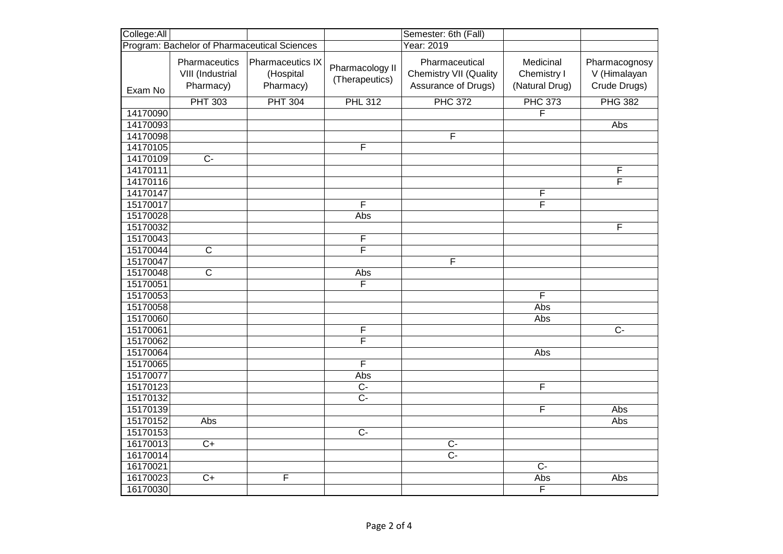| College:All                                  |                                                |                                                   |                                   | Semester: 6th (Fall)                                                   |                                            |                                               |
|----------------------------------------------|------------------------------------------------|---------------------------------------------------|-----------------------------------|------------------------------------------------------------------------|--------------------------------------------|-----------------------------------------------|
| Program: Bachelor of Pharmaceutical Sciences |                                                |                                                   | Year: 2019                        |                                                                        |                                            |                                               |
| Exam No                                      | Pharmaceutics<br>VIII (Industrial<br>Pharmacy) | <b>Pharmaceutics IX</b><br>(Hospital<br>Pharmacy) | Pharmacology II<br>(Therapeutics) | Pharmaceutical<br><b>Chemistry VII (Quality</b><br>Assurance of Drugs) | Medicinal<br>Chemistry I<br>(Natural Drug) | Pharmacognosy<br>V (Himalayan<br>Crude Drugs) |
|                                              | <b>PHT 303</b>                                 | <b>PHT 304</b>                                    | <b>PHL 312</b>                    | <b>PHC 372</b>                                                         | <b>PHC 373</b>                             | <b>PHG 382</b>                                |
| 14170090                                     |                                                |                                                   |                                   |                                                                        | F                                          |                                               |
| 14170093                                     |                                                |                                                   |                                   |                                                                        |                                            | Abs                                           |
| 14170098                                     |                                                |                                                   |                                   | F                                                                      |                                            |                                               |
| 14170105                                     |                                                |                                                   | F                                 |                                                                        |                                            |                                               |
| 14170109                                     | $\overline{C}$                                 |                                                   |                                   |                                                                        |                                            |                                               |
| 14170111                                     |                                                |                                                   |                                   |                                                                        |                                            | F                                             |
| 14170116                                     |                                                |                                                   |                                   |                                                                        |                                            | F                                             |
| 14170147                                     |                                                |                                                   |                                   |                                                                        | F                                          |                                               |
| 15170017                                     |                                                |                                                   | F                                 |                                                                        | F                                          |                                               |
| 15170028                                     |                                                |                                                   | Abs                               |                                                                        |                                            |                                               |
| 15170032                                     |                                                |                                                   |                                   |                                                                        |                                            | F                                             |
| 15170043                                     |                                                |                                                   | $\overline{F}$                    |                                                                        |                                            |                                               |
| 15170044                                     | $\overline{C}$                                 |                                                   | $\overline{\mathsf{F}}$           |                                                                        |                                            |                                               |
| 15170047                                     |                                                |                                                   |                                   | F                                                                      |                                            |                                               |
| 15170048                                     | $\overline{C}$                                 |                                                   | Abs                               |                                                                        |                                            |                                               |
| 15170051                                     |                                                |                                                   | F                                 |                                                                        |                                            |                                               |
| 15170053                                     |                                                |                                                   |                                   |                                                                        | $\overline{\mathsf{F}}$                    |                                               |
| 15170058                                     |                                                |                                                   |                                   |                                                                        | Abs                                        |                                               |
| 15170060                                     |                                                |                                                   |                                   |                                                                        | Abs                                        |                                               |
| 15170061                                     |                                                |                                                   | F                                 |                                                                        |                                            | $C -$                                         |
| 15170062                                     |                                                |                                                   | $\overline{\mathsf{F}}$           |                                                                        |                                            |                                               |
| 15170064                                     |                                                |                                                   |                                   |                                                                        | Abs                                        |                                               |
| 15170065                                     |                                                |                                                   | $\overline{\mathsf{F}}$           |                                                                        |                                            |                                               |
| 15170077                                     |                                                |                                                   | Abs                               |                                                                        |                                            |                                               |
| 15170123                                     |                                                |                                                   | $C -$                             |                                                                        | F                                          |                                               |
| 15170132                                     |                                                |                                                   | $\overline{C}$                    |                                                                        |                                            |                                               |
| 15170139                                     |                                                |                                                   |                                   |                                                                        | F                                          | Abs                                           |
| 15170152                                     | Abs                                            |                                                   |                                   |                                                                        |                                            | Abs                                           |
| 15170153                                     |                                                |                                                   | $\overline{C}$                    |                                                                        |                                            |                                               |
| 16170013                                     | $\overline{C+}$                                |                                                   |                                   | $\overline{C}$                                                         |                                            |                                               |
| 16170014                                     |                                                |                                                   |                                   | $\overline{C}$                                                         |                                            |                                               |
| 16170021                                     |                                                |                                                   |                                   |                                                                        | $\overline{C}$                             |                                               |
| 16170023                                     | $\overline{C+}$                                | F                                                 |                                   |                                                                        | Abs                                        | Abs                                           |
| 16170030                                     |                                                |                                                   |                                   |                                                                        | F                                          |                                               |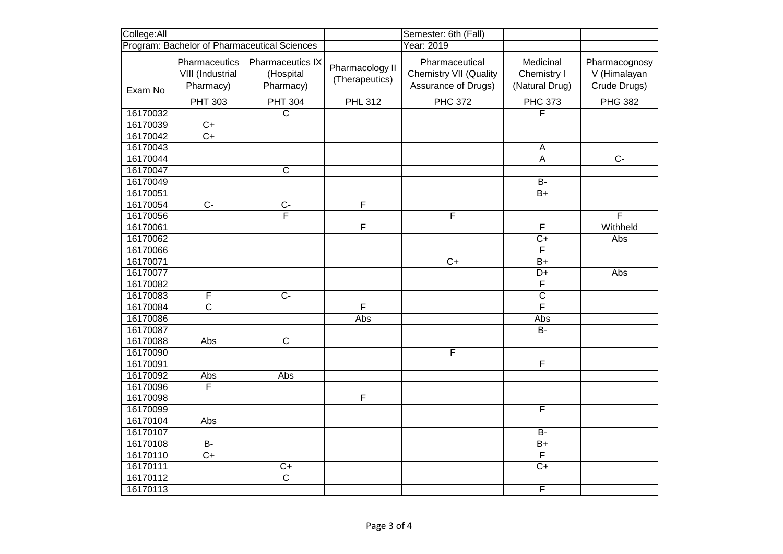| College: All                                 |                                                |                                                   |                                   | Semester: 6th (Fall)                                                   |                                            |                                               |
|----------------------------------------------|------------------------------------------------|---------------------------------------------------|-----------------------------------|------------------------------------------------------------------------|--------------------------------------------|-----------------------------------------------|
| Program: Bachelor of Pharmaceutical Sciences |                                                |                                                   |                                   | Year: 2019                                                             |                                            |                                               |
| Exam No                                      | Pharmaceutics<br>VIII (Industrial<br>Pharmacy) | <b>Pharmaceutics IX</b><br>(Hospital<br>Pharmacy) | Pharmacology II<br>(Therapeutics) | Pharmaceutical<br><b>Chemistry VII (Quality</b><br>Assurance of Drugs) | Medicinal<br>Chemistry I<br>(Natural Drug) | Pharmacognosy<br>V (Himalayan<br>Crude Drugs) |
|                                              | <b>PHT 303</b>                                 | <b>PHT 304</b>                                    | <b>PHL 312</b>                    | <b>PHC 372</b>                                                         | <b>PHC 373</b>                             | <b>PHG 382</b>                                |
| 16170032                                     |                                                | $\overline{\text{c}}$                             |                                   |                                                                        | F                                          |                                               |
| 16170039                                     | $\overline{C+}$                                |                                                   |                                   |                                                                        |                                            |                                               |
| 16170042                                     | $\overline{C+}$                                |                                                   |                                   |                                                                        |                                            |                                               |
| 16170043                                     |                                                |                                                   |                                   |                                                                        | $\overline{A}$                             |                                               |
| 16170044                                     |                                                |                                                   |                                   |                                                                        | $\overline{A}$                             | $\overline{C}$                                |
| 16170047                                     |                                                | $\overline{\mathsf{c}}$                           |                                   |                                                                        |                                            |                                               |
| 16170049                                     |                                                |                                                   |                                   |                                                                        | $B -$                                      |                                               |
| 16170051                                     |                                                |                                                   |                                   |                                                                        | $\overline{B+}$                            |                                               |
| 16170054                                     | $\overline{C}$                                 | $C -$                                             | F                                 |                                                                        |                                            |                                               |
| 16170056                                     |                                                | $\overline{F}$                                    |                                   | F                                                                      |                                            | $\overline{F}$                                |
| 16170061                                     |                                                |                                                   | F                                 |                                                                        | F                                          | Withheld                                      |
| 16170062                                     |                                                |                                                   |                                   |                                                                        | $\overline{C+}$                            | Abs                                           |
| 16170066                                     |                                                |                                                   |                                   |                                                                        | F                                          |                                               |
| 16170071                                     |                                                |                                                   |                                   | $\overline{C}$                                                         | $B+$                                       |                                               |
| 16170077                                     |                                                |                                                   |                                   |                                                                        | D+                                         | Abs                                           |
| 16170082                                     |                                                |                                                   |                                   |                                                                        | $\overline{F}$                             |                                               |
| 16170083                                     | F                                              | $\overline{C}$                                    |                                   |                                                                        | $\overline{\text{c}}$                      |                                               |
| 16170084                                     | $\overline{\mathsf{c}}$                        |                                                   | $\overline{\mathsf{F}}$           |                                                                        | $\overline{\mathsf{F}}$                    |                                               |
| 16170086                                     |                                                |                                                   | Abs                               |                                                                        | Abs                                        |                                               |
| 16170087                                     |                                                |                                                   |                                   |                                                                        | <b>B-</b>                                  |                                               |
| 16170088                                     | Abs                                            | $\overline{C}$                                    |                                   |                                                                        |                                            |                                               |
| 16170090                                     |                                                |                                                   |                                   | F                                                                      |                                            |                                               |
| 16170091                                     |                                                |                                                   |                                   |                                                                        | F                                          |                                               |
| 16170092                                     | Abs                                            | Abs                                               |                                   |                                                                        |                                            |                                               |
| 16170096                                     | F                                              |                                                   |                                   |                                                                        |                                            |                                               |
| 16170098                                     |                                                |                                                   | F                                 |                                                                        |                                            |                                               |
| 16170099                                     |                                                |                                                   |                                   |                                                                        | F                                          |                                               |
| 16170104                                     | Abs                                            |                                                   |                                   |                                                                        |                                            |                                               |
| 16170107                                     |                                                |                                                   |                                   |                                                                        | <b>B-</b>                                  |                                               |
| 16170108                                     | $B -$                                          |                                                   |                                   |                                                                        | $\overline{B+}$                            |                                               |
| 16170110                                     | $C+$                                           |                                                   |                                   |                                                                        | F                                          |                                               |
| 16170111                                     |                                                | $\overline{C+}$                                   |                                   |                                                                        | $C+$                                       |                                               |
| 16170112                                     |                                                | $\overline{\mathsf{c}}$                           |                                   |                                                                        |                                            |                                               |
| 16170113                                     |                                                |                                                   |                                   |                                                                        | $\overline{F}$                             |                                               |